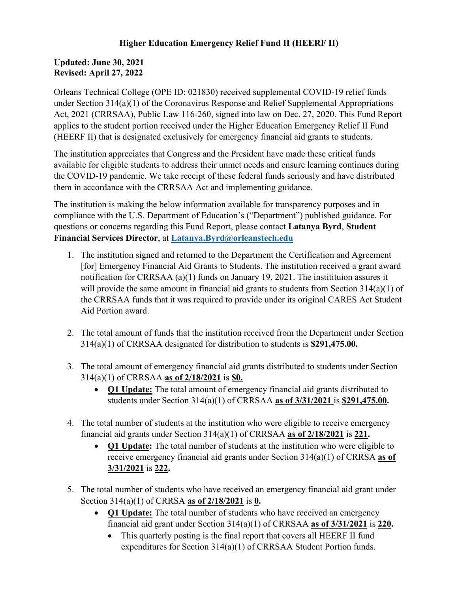## **Higher Education Emergency Relief Fund II (HEERF II)**

## **Updated: June 30, 2021 Revised: April 27, 2022**

Orleans Technical College (OPE ID: 021830) received supplemental COVID-19 relief funds under Section 314(a)(1) of the Coronavirus Response and Relief Supplemental Appropriations Act, 2021 (CRRSAA), Public Law 116-260, signed into law on Dec. 27, 2020. This Fund Report applies to the student portion received under the Higher Education Emergency Relief II Fund (HEERF II) that is designated exclusively for emergency financial aid grants to students.

The institution appreciates that Congress and the President have made these critical funds available for eligible students to address their unmet needs and ensure learning continues during the COVID-19 pandemic. We take receipt of these federal funds seriously and have distributed them in accordance with the CRRSAA Act and implementing guidance.

The institution is making the below information available for transparency purposes and in compliance with the U.S. Department of Education's ("Department") published guidance. For questions or concerns regarding this Fund Report, please contact **Latanya Byrd**, **Student Financial Services Director**, at **[Latanya.Byrd@orleanstech.edu](mailto:Latanya.Byrd@orleanstech.edu)**

- 1. The institution signed and returned to the Department the Certification and Agreement [for] Emergency Financial Aid Grants to Students. The institution received a grant award notification for CRRSAA (a)(1) funds on January 19, 2021. The institituion assures it will provide the same amount in financial aid grants to students from Section 314(a)(1) of the CRRSAA funds that it was required to provide under its original CARES Act Student Aid Portion award.
- 2. The total amount of funds that the institution received from the Department under Section 314(a)(1) of CRRSAA designated for distribution to students is **\$291,475.00.**
- 3. The total amount of emergency financial aid grants distributed to students under Section 314(a)(1) of CRRSAA **as of 2/18/2021** is **\$0.**
	- **Q1 Update:** The total amount of emergency financial aid grants distributed to students under Section 314(a)(1) of CRRSAA **as of 3/31/2021** is **\$291,475.00.**
- 4. The total number of students at the institution who were eligible to receive emergency financial aid grants under Section 314(a)(1) of CRRSAA **as of 2/18/2021** is **221.**
	- **Q1 Update:** The total number of students at the institution who were eligible to receive emergency financial aid grants under Section 314(a)(1) of CRRSA **as of 3/31/2021** is **222.**
- 5. The total number of students who have received an emergency financial aid grant under Section 314(a)(1) of CRRSA **as of 2/18/2021** is **0.**
	- **Q1 Update:** The total number of students who have received an emergency financial aid grant under Section 314(a)(1) of CRRSAA **as of 3/31/2021** is **220.**
		- This quarterly posting is the final report that covers all HEERF II fund expenditures for Section 314(a)(1) of CRRSAA Student Portion funds.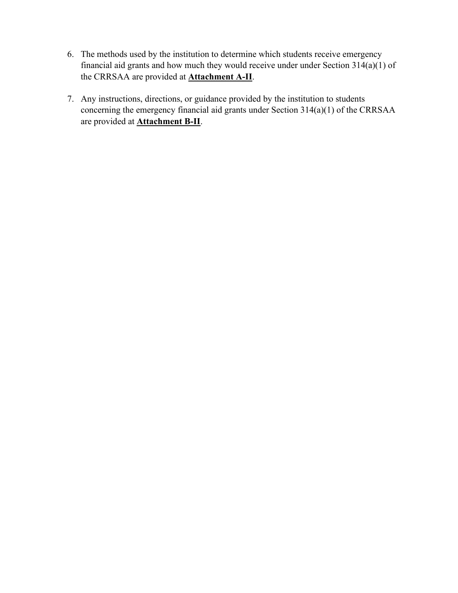- 6. The methods used by the institution to determine which students receive emergency financial aid grants and how much they would receive under under Section  $314(a)(1)$  of the CRRSAA are provided at **Attachment A-II**.
- 7. Any instructions, directions, or guidance provided by the institution to students concerning the emergency financial aid grants under Section 314(a)(1) of the CRRSAA are provided at **Attachment B-II**.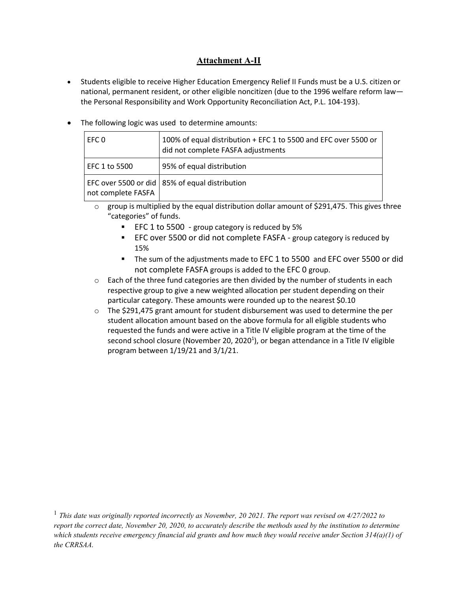## **Attachment A-II**

- Students eligible to receive Higher Education Emergency Relief II Funds must be a U.S. citizen or national, permanent resident, or other eligible noncitizen (due to the 1996 welfare reform law the Personal Responsibility and Work Opportunity Reconciliation Act, P.L. 104-193).
- The following logic was used to determine amounts:

| EFC 0              | 100% of equal distribution + EFC 1 to 5500 and EFC over 5500 or<br>did not complete FASFA adjustments |
|--------------------|-------------------------------------------------------------------------------------------------------|
| EFC 1 to 5500      | 95% of equal distribution                                                                             |
| not complete FASFA | EFC over 5500 or did   85% of equal distribution                                                      |

- o group is multiplied by the equal distribution dollar amount of \$291,475. This gives three "categories" of funds.
	- **EFC 1 to 5500** group category is reduced by 5%
	- **EFC over 5500 or did not complete FASFA group category is reduced by** 15%
	- The sum of the adjustments made to EFC 1 to 5500 and EFC over 5500 or did not complete FASFA groups is added to the EFC 0 group.
- $\circ$  Each of the three fund categories are then divided by the number of students in each respective group to give a new weighted allocation per student depending on their particular category. These amounts were rounded up to the nearest \$0.10
- $\circ$  The \$291,475 grant amount for student disbursement was used to determine the per student allocation amount based on the above formula for all eligible students who requested the funds and were active in a Title IV eligible program at the time of the second school closure (November 20, 2020<sup>1</sup>), or began attendance in a Title IV eligible program between 1/19/21 and 3/1/21.

<sup>1</sup> *This date was originally reported incorrectly as November, 20 2021. The report was revised on 4/27/2022 to report the correct date, November 20, 2020, to accurately describe the methods used by the institution to determine which students receive emergency financial aid grants and how much they would receive under Section 314(a)(1) of the CRRSAA.*